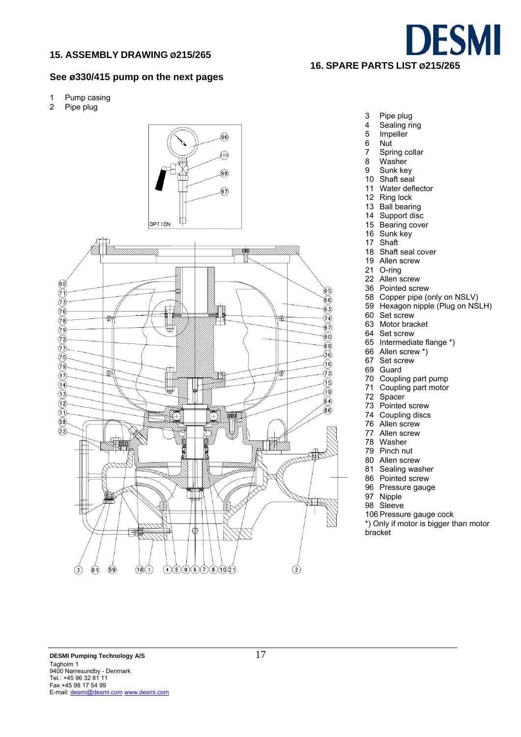

#### **See ø330/415 pump on the next pages**

- 1 Pump casing
- 2 Pipe plug



- 3 Pipe plug
- 4 Sealing ring<br>5 Impeller
- 5 Impeller<br>6 Nut Nut
- 7 Spring collar
- 
- 8 Washer<br>9 Sunk ke Sunk key
- 
- 10 Shaft seal 11 Water deflector
- 12 Ring lock
- 13 Ball bearing
- 
- 14 Support disc
- 15 Bearing cover 16 Sunk key
- 
- 17 Shaft
- 18 Shaft seal cover
- 19 Allen screw
- 21 O-ring
- 22 Allen screw
- 36 Pointed screw
- 58 Copper pipe (only on NSLV)
- 59 Hexagon nipple (Plug on NSLH)
- 60 Set screw
- 63 Motor bracket
- 64 Set screw
- 65 Intermediate flange \*)
- 66 Allen screw \*)
- 67 Set screw
- 69 Guard
- 70 Coupling part pump 71 Coupling part motor
- 
- 72 Spacer
- 73 Pointed screw
- 74 Coupling discs
- 76 Allen screw
- 77 Allen screw
- 78 Washer
- 79 Pinch nut
- 80 Allen screw
- 81 Sealing washer
- 86 Pointed screw
- 96 Pressure gauge
- 97 Nipple
- 98 Sleeve

106 Pressure gauge cock

\*) Only if motor is bigger than motor bracket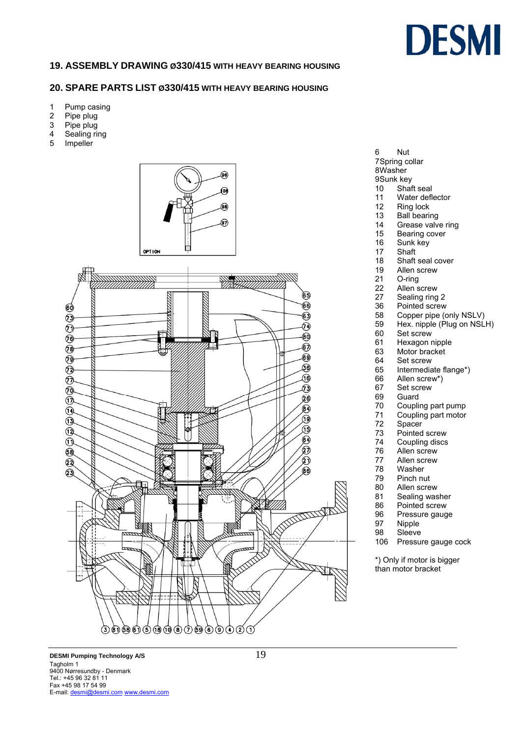

### **19. ASSEMBLY DRAWING Ø330/415 WITH HEAVY BEARING HOUSING**

#### **20. SPARE PARTS LIST Ø330/415 WITH HEAVY BEARING HOUSING**

- 1 Pump casing
- 2 Pipe plug
- 3 Pipe plug
- 4 Sealing ring<br>5 Impeller
- **Impeller**